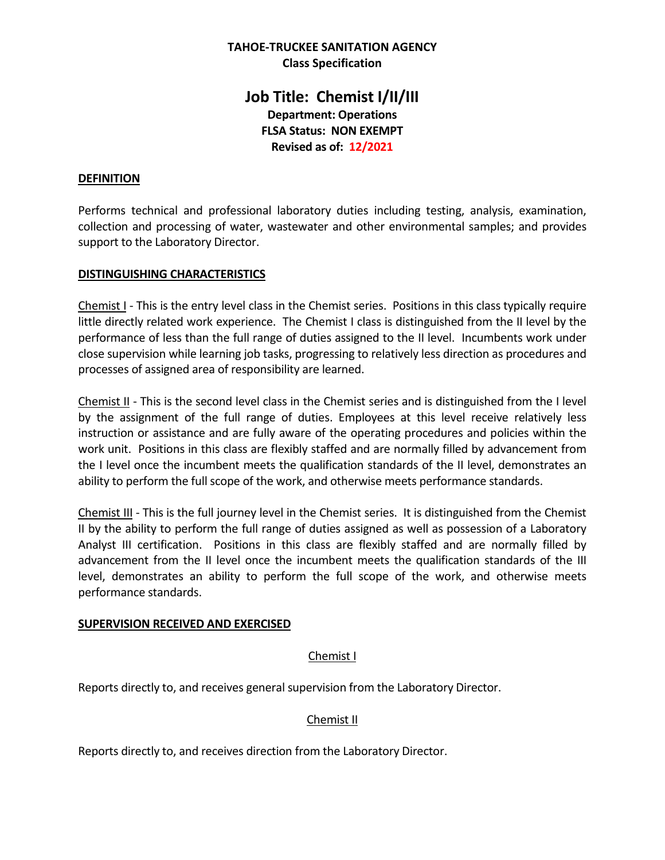# **TAHOE-TRUCKEE SANITATION AGENCY Class Specification**

# **Job Title: Chemist I/II/III Department: Operations FLSA Status: NON EXEMPT Revised as of: 12/2021**

# **DEFINITION**

Performs technical and professional laboratory duties including testing, analysis, examination, collection and processing of water, wastewater and other environmental samples; and provides support to the Laboratory Director.

### **DISTINGUISHING CHARACTERISTICS**

Chemist I - This is the entry level class in the Chemist series. Positions in this class typically require little directly related work experience. The Chemist I class is distinguished from the II level by the performance of less than the full range of duties assigned to the II level. Incumbents work under close supervision while learning job tasks, progressing to relatively less direction as procedures and processes of assigned area of responsibility are learned.

Chemist II - This is the second level class in the Chemist series and is distinguished from the I level by the assignment of the full range of duties. Employees at this level receive relatively less instruction or assistance and are fully aware of the operating procedures and policies within the work unit. Positions in this class are flexibly staffed and are normally filled by advancement from the I level once the incumbent meets the qualification standards of the II level, demonstrates an ability to perform the full scope of the work, and otherwise meets performance standards.

Chemist III - This is the full journey level in the Chemist series. It is distinguished from the Chemist II by the ability to perform the full range of duties assigned as well as possession of a Laboratory Analyst III certification. Positions in this class are flexibly staffed and are normally filled by advancement from the II level once the incumbent meets the qualification standards of the III level, demonstrates an ability to perform the full scope of the work, and otherwise meets performance standards.

### **SUPERVISION RECEIVED AND EXERCISED**

### Chemist I

Reports directly to, and receives general supervision from the Laboratory Director.

### Chemist II

Reports directly to, and receives direction from the Laboratory Director.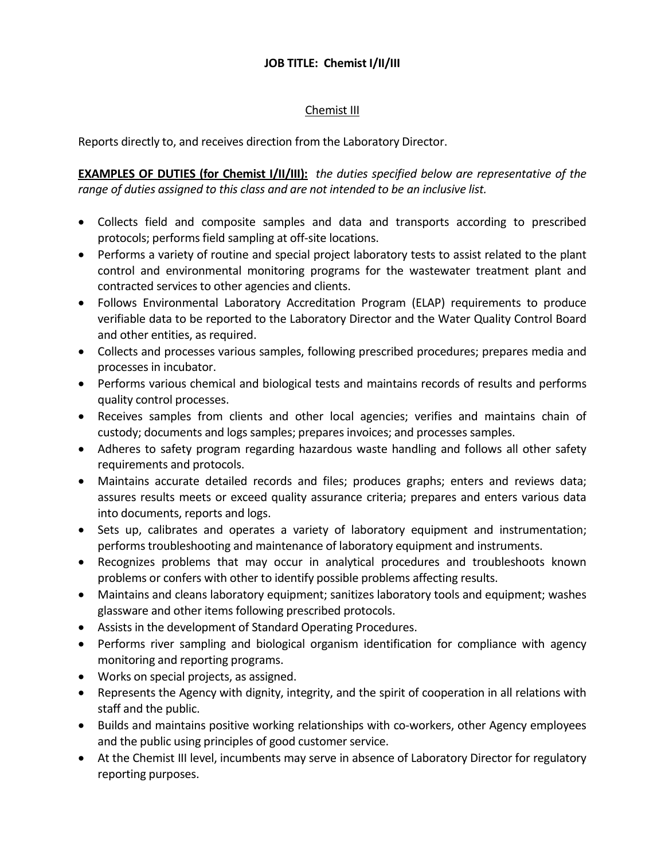### Chemist III

Reports directly to, and receives direction from the Laboratory Director.

**EXAMPLES OF DUTIES (for Chemist I/II/III):** *the duties specified below are representative of the range of duties assigned to this class and are not intended to be an inclusive list.*

- Collects field and composite samples and data and transports according to prescribed protocols; performs field sampling at off-site locations.
- Performs a variety of routine and special project laboratory tests to assist related to the plant control and environmental monitoring programs for the wastewater treatment plant and contracted services to other agencies and clients.
- Follows Environmental Laboratory Accreditation Program (ELAP) requirements to produce verifiable data to be reported to the Laboratory Director and the Water Quality Control Board and other entities, as required.
- Collects and processes various samples, following prescribed procedures; prepares media and processes in incubator.
- Performs various chemical and biological tests and maintains records of results and performs quality control processes.
- Receives samples from clients and other local agencies; verifies and maintains chain of custody; documents and logs samples; prepares invoices; and processes samples.
- Adheres to safety program regarding hazardous waste handling and follows all other safety requirements and protocols.
- Maintains accurate detailed records and files; produces graphs; enters and reviews data; assures results meets or exceed quality assurance criteria; prepares and enters various data into documents, reports and logs.
- Sets up, calibrates and operates a variety of laboratory equipment and instrumentation; performs troubleshooting and maintenance of laboratory equipment and instruments.
- Recognizes problems that may occur in analytical procedures and troubleshoots known problems or confers with other to identify possible problems affecting results.
- Maintains and cleans laboratory equipment; sanitizes laboratory tools and equipment; washes glassware and other items following prescribed protocols.
- Assists in the development of Standard Operating Procedures.
- Performs river sampling and biological organism identification for compliance with agency monitoring and reporting programs.
- Works on special projects, as assigned.
- Represents the Agency with dignity, integrity, and the spirit of cooperation in all relations with staff and the public.
- Builds and maintains positive working relationships with co-workers, other Agency employees and the public using principles of good customer service.
- At the Chemist III level, incumbents may serve in absence of Laboratory Director for regulatory reporting purposes.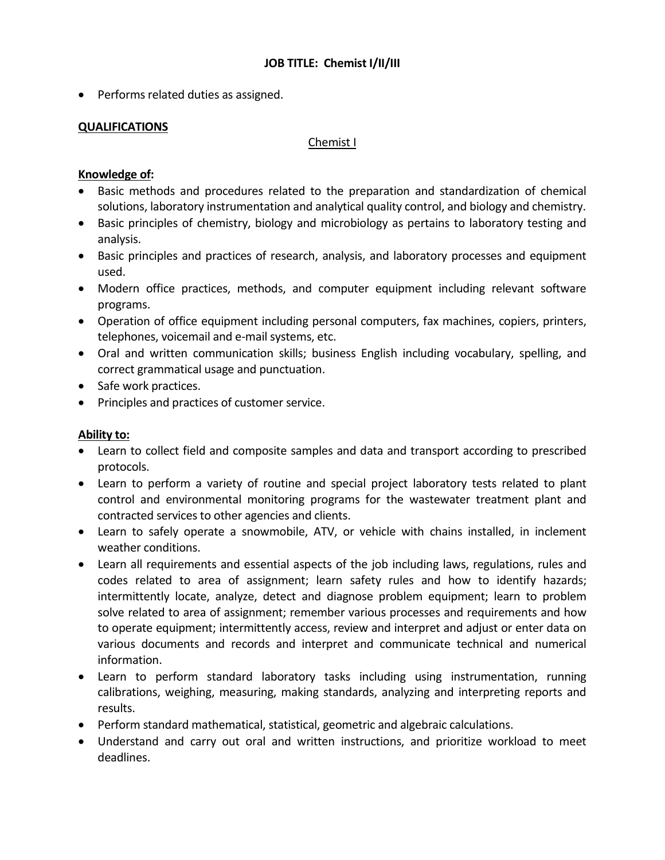• Performs related duties as assigned.

### **QUALIFICATIONS**

#### Chemist I

# **Knowledge of:**

- Basic methods and procedures related to the preparation and standardization of chemical solutions, laboratory instrumentation and analytical quality control, and biology and chemistry.
- Basic principles of chemistry, biology and microbiology as pertains to laboratory testing and analysis.
- Basic principles and practices of research, analysis, and laboratory processes and equipment used.
- Modern office practices, methods, and computer equipment including relevant software programs.
- Operation of office equipment including personal computers, fax machines, copiers, printers, telephones, voicemail and e-mail systems, etc.
- Oral and written communication skills; business English including vocabulary, spelling, and correct grammatical usage and punctuation.
- Safe work practices.
- Principles and practices of customer service.

### **Ability to:**

- Learn to collect field and composite samples and data and transport according to prescribed protocols.
- Learn to perform a variety of routine and special project laboratory tests related to plant control and environmental monitoring programs for the wastewater treatment plant and contracted services to other agencies and clients.
- Learn to safely operate a snowmobile, ATV, or vehicle with chains installed, in inclement weather conditions.
- Learn all requirements and essential aspects of the job including laws, regulations, rules and codes related to area of assignment; learn safety rules and how to identify hazards; intermittently locate, analyze, detect and diagnose problem equipment; learn to problem solve related to area of assignment; remember various processes and requirements and how to operate equipment; intermittently access, review and interpret and adjust or enter data on various documents and records and interpret and communicate technical and numerical information.
- Learn to perform standard laboratory tasks including using instrumentation, running calibrations, weighing, measuring, making standards, analyzing and interpreting reports and results.
- Perform standard mathematical, statistical, geometric and algebraic calculations.
- Understand and carry out oral and written instructions, and prioritize workload to meet deadlines.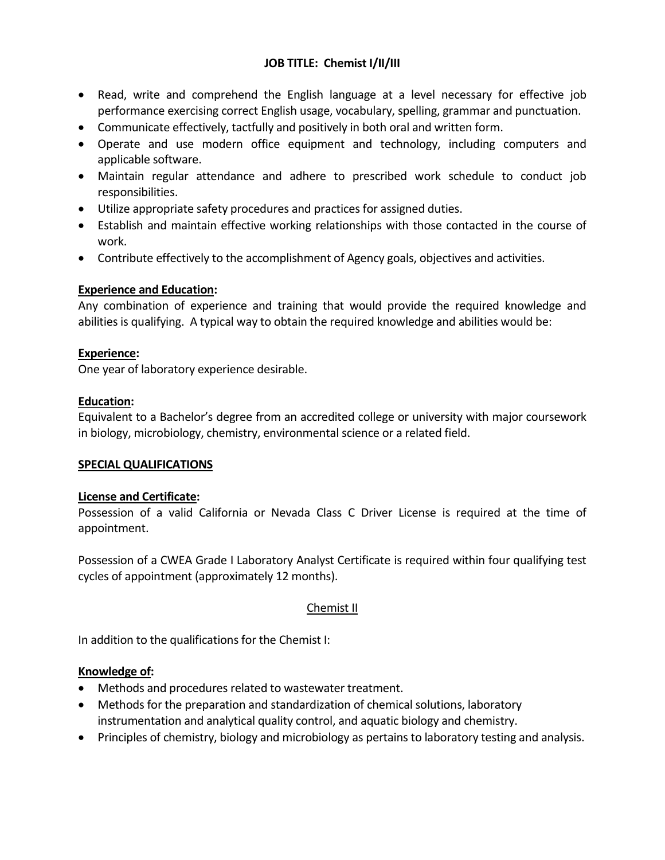- Read, write and comprehend the English language at a level necessary for effective job performance exercising correct English usage, vocabulary, spelling, grammar and punctuation.
- Communicate effectively, tactfully and positively in both oral and written form.
- Operate and use modern office equipment and technology, including computers and applicable software.
- Maintain regular attendance and adhere to prescribed work schedule to conduct job responsibilities.
- Utilize appropriate safety procedures and practices for assigned duties.
- Establish and maintain effective working relationships with those contacted in the course of work.
- Contribute effectively to the accomplishment of Agency goals, objectives and activities.

# **Experience and Education:**

Any combination of experience and training that would provide the required knowledge and abilities is qualifying. A typical way to obtain the required knowledge and abilities would be:

# **Experience:**

One year of laboratory experience desirable.

# **Education:**

Equivalent to a Bachelor's degree from an accredited college or university with major coursework in biology, microbiology, chemistry, environmental science or a related field.

### **SPECIAL QUALIFICATIONS**

### **License and Certificate:**

Possession of a valid California or Nevada Class C Driver License is required at the time of appointment.

Possession of a CWEA Grade I Laboratory Analyst Certificate is required within four qualifying test cycles of appointment (approximately 12 months).

# Chemist II

In addition to the qualifications for the Chemist I:

### **Knowledge of:**

- Methods and procedures related to wastewater treatment.
- Methods for the preparation and standardization of chemical solutions, laboratory instrumentation and analytical quality control, and aquatic biology and chemistry.
- Principles of chemistry, biology and microbiology as pertains to laboratory testing and analysis.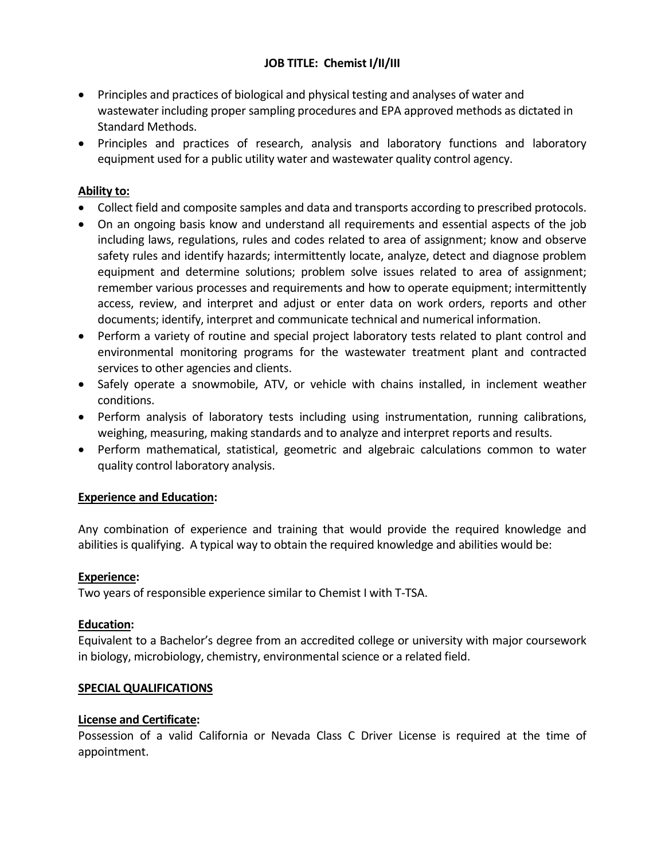- Principles and practices of biological and physical testing and analyses of water and wastewater including proper sampling procedures and EPA approved methods as dictated in Standard Methods.
- Principles and practices of research, analysis and laboratory functions and laboratory equipment used for a public utility water and wastewater quality control agency.

# **Ability to:**

- Collect field and composite samples and data and transports according to prescribed protocols.
- On an ongoing basis know and understand all requirements and essential aspects of the job including laws, regulations, rules and codes related to area of assignment; know and observe safety rules and identify hazards; intermittently locate, analyze, detect and diagnose problem equipment and determine solutions; problem solve issues related to area of assignment; remember various processes and requirements and how to operate equipment; intermittently access, review, and interpret and adjust or enter data on work orders, reports and other documents; identify, interpret and communicate technical and numerical information.
- Perform a variety of routine and special project laboratory tests related to plant control and environmental monitoring programs for the wastewater treatment plant and contracted services to other agencies and clients.
- Safely operate a snowmobile, ATV, or vehicle with chains installed, in inclement weather conditions.
- Perform analysis of laboratory tests including using instrumentation, running calibrations, weighing, measuring, making standards and to analyze and interpret reports and results.
- Perform mathematical, statistical, geometric and algebraic calculations common to water quality control laboratory analysis.

### **Experience and Education:**

Any combination of experience and training that would provide the required knowledge and abilities is qualifying. A typical way to obtain the required knowledge and abilities would be:

### **Experience:**

Two years of responsible experience similar to Chemist I with T-TSA.

### **Education:**

Equivalent to a Bachelor's degree from an accredited college or university with major coursework in biology, microbiology, chemistry, environmental science or a related field.

#### **SPECIAL QUALIFICATIONS**

### **License and Certificate:**

Possession of a valid California or Nevada Class C Driver License is required at the time of appointment.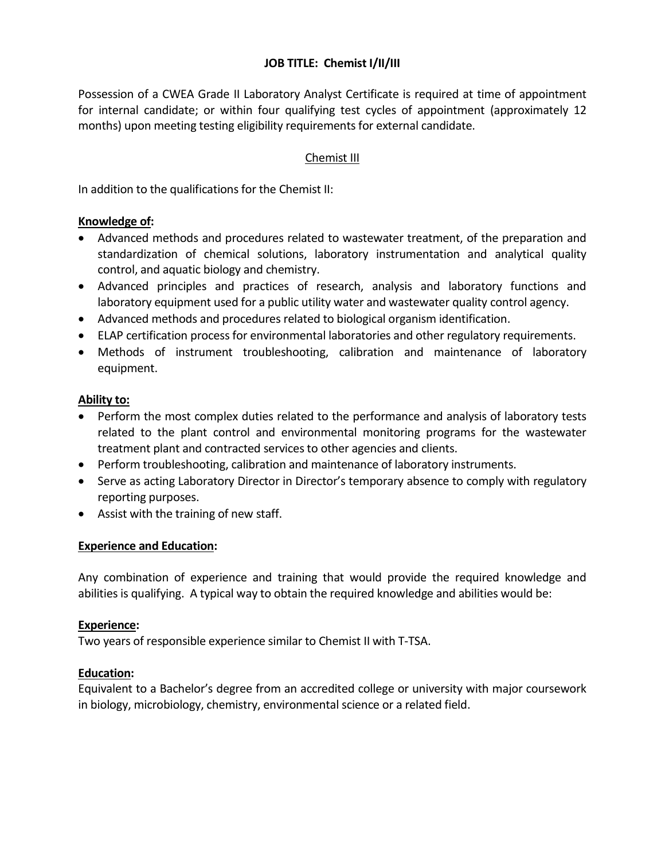Possession of a CWEA Grade II Laboratory Analyst Certificate is required at time of appointment for internal candidate; or within four qualifying test cycles of appointment (approximately 12 months) upon meeting testing eligibility requirements for external candidate.

# Chemist III

In addition to the qualifications for the Chemist II:

### **Knowledge of:**

- Advanced methods and procedures related to wastewater treatment, of the preparation and standardization of chemical solutions, laboratory instrumentation and analytical quality control, and aquatic biology and chemistry.
- Advanced principles and practices of research, analysis and laboratory functions and laboratory equipment used for a public utility water and wastewater quality control agency.
- Advanced methods and procedures related to biological organism identification.
- ELAP certification process for environmental laboratories and other regulatory requirements.
- Methods of instrument troubleshooting, calibration and maintenance of laboratory equipment.

# **Ability to:**

- Perform the most complex duties related to the performance and analysis of laboratory tests related to the plant control and environmental monitoring programs for the wastewater treatment plant and contracted services to other agencies and clients.
- Perform troubleshooting, calibration and maintenance of laboratory instruments.
- Serve as acting Laboratory Director in Director's temporary absence to comply with regulatory reporting purposes.
- Assist with the training of new staff.

# **Experience and Education:**

Any combination of experience and training that would provide the required knowledge and abilities is qualifying. A typical way to obtain the required knowledge and abilities would be:

### **Experience:**

Two years of responsible experience similar to Chemist II with T-TSA.

### **Education:**

Equivalent to a Bachelor's degree from an accredited college or university with major coursework in biology, microbiology, chemistry, environmental science or a related field.